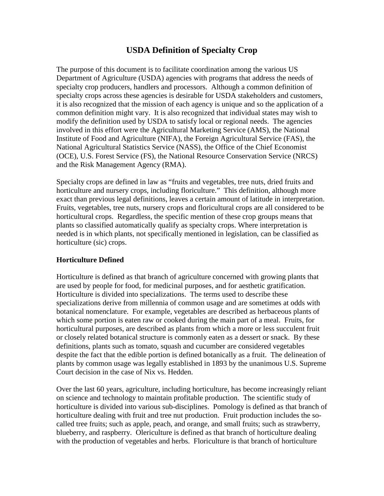# **USDA Definition of Specialty Crop**

The purpose of this document is to facilitate coordination among the various US Department of Agriculture (USDA) agencies with programs that address the needs of specialty crop producers, handlers and processors. Although a common definition of specialty crops across these agencies is desirable for USDA stakeholders and customers, it is also recognized that the mission of each agency is unique and so the application of a common definition might vary. It is also recognized that individual states may wish to modify the definition used by USDA to satisfy local or regional needs. The agencies involved in this effort were the Agricultural Marketing Service (AMS), the National Institute of Food and Agriculture (NIFA), the Foreign Agricultural Service (FAS), the National Agricultural Statistics Service (NASS), the Office of the Chief Economist (OCE), U.S. Forest Service (FS), the National Resource Conservation Service (NRCS) and the Risk Management Agency (RMA).

Specialty crops are defined in law as "fruits and vegetables, tree nuts, dried fruits and horticulture and nursery crops, including floriculture." This definition, although more exact than previous legal definitions, leaves a certain amount of latitude in interpretation. Fruits, vegetables, tree nuts, nursery crops and floricultural crops are all considered to be horticultural crops. Regardless, the specific mention of these crop groups means that plants so classified automatically qualify as specialty crops. Where interpretation is needed is in which plants, not specifically mentioned in legislation, can be classified as horticulture (sic) crops.

#### **Horticulture Defined**

Horticulture is defined as that branch of agriculture concerned with growing plants that are used by people for food, for medicinal purposes, and for aesthetic gratification. Horticulture is divided into specializations. The terms used to describe these specializations derive from millennia of common usage and are sometimes at odds with botanical nomenclature. For example, vegetables are described as herbaceous plants of which some portion is eaten raw or cooked during the main part of a meal. Fruits, for horticultural purposes, are described as plants from which a more or less succulent fruit or closely related botanical structure is commonly eaten as a dessert or snack. By these definitions, plants such as tomato, squash and cucumber are considered vegetables despite the fact that the edible portion is defined botanically as a fruit. The delineation of plants by common usage was legally established in 1893 by the unanimous U.S. Supreme Court decision in the case of Nix vs. Hedden.

Over the last 60 years, agriculture, including horticulture, has become increasingly reliant on science and technology to maintain profitable production. The scientific study of horticulture is divided into various sub-disciplines. Pomology is defined as that branch of horticulture dealing with fruit and tree nut production. Fruit production includes the socalled tree fruits; such as apple, peach, and orange, and small fruits; such as strawberry, blueberry, and raspberry. Olericulture is defined as that branch of horticulture dealing with the production of vegetables and herbs. Floriculture is that branch of horticulture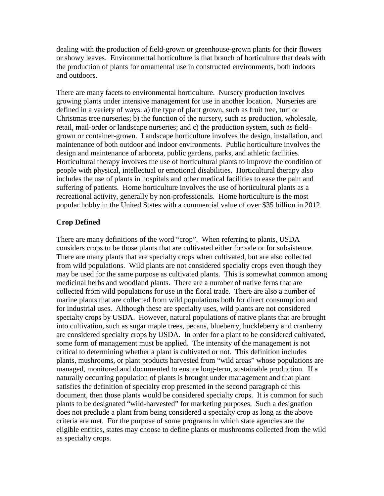dealing with the production of field-grown or greenhouse-grown plants for their flowers or showy leaves. Environmental horticulture is that branch of horticulture that deals with the production of plants for ornamental use in constructed environments, both indoors and outdoors.

There are many facets to environmental horticulture. Nursery production involves growing plants under intensive management for use in another location. Nurseries are defined in a variety of ways: a) the type of plant grown, such as fruit tree, turf or Christmas tree nurseries; b) the function of the nursery, such as production, wholesale, retail, mail-order or landscape nurseries; and c) the production system, such as fieldgrown or container-grown. Landscape horticulture involves the design, installation, and maintenance of both outdoor and indoor environments. Public horticulture involves the design and maintenance of arboreta, public gardens, parks, and athletic facilities. Horticultural therapy involves the use of horticultural plants to improve the condition of people with physical, intellectual or emotional disabilities. Horticultural therapy also includes the use of plants in hospitals and other medical facilities to ease the pain and suffering of patients. Home horticulture involves the use of horticultural plants as a recreational activity, generally by non-professionals. Home horticulture is the most popular hobby in the United States with a commercial value of over \$35 billion in 2012.

#### **Crop Defined**

There are many definitions of the word "crop". When referring to plants, USDA considers crops to be those plants that are cultivated either for sale or for subsistence. There are many plants that are specialty crops when cultivated, but are also collected from wild populations. Wild plants are not considered specialty crops even though they may be used for the same purpose as cultivated plants. This is somewhat common among medicinal herbs and woodland plants. There are a number of native ferns that are collected from wild populations for use in the floral trade. There are also a number of marine plants that are collected from wild populations both for direct consumption and for industrial uses. Although these are specialty uses, wild plants are not considered specialty crops by USDA. However, natural populations of native plants that are brought into cultivation, such as sugar maple trees, pecans, blueberry, huckleberry and cranberry are considered specialty crops by USDA. In order for a plant to be considered cultivated, some form of management must be applied. The intensity of the management is not critical to determining whether a plant is cultivated or not. This definition includes plants, mushrooms, or plant products harvested from "wild areas" whose populations are managed, monitored and documented to ensure long-term, sustainable production. If a naturally occurring population of plants is brought under management and that plant satisfies the definition of specialty crop presented in the second paragraph of this document, then those plants would be considered specialty crops. It is common for such plants to be designated "wild-harvested" for marketing purposes. Such a designation does not preclude a plant from being considered a specialty crop as long as the above criteria are met. For the purpose of some programs in which state agencies are the eligible entities, states may choose to define plants or mushrooms collected from the wild as specialty crops.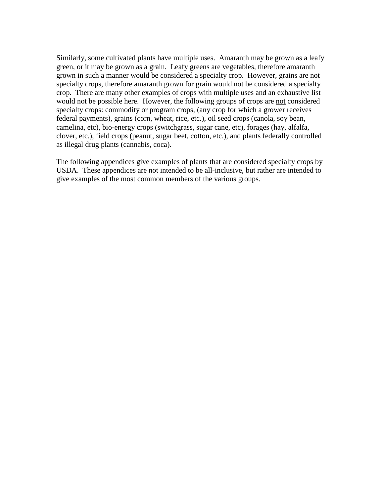Similarly, some cultivated plants have multiple uses. Amaranth may be grown as a leafy green, or it may be grown as a grain. Leafy greens are vegetables, therefore amaranth grown in such a manner would be considered a specialty crop. However, grains are not specialty crops, therefore amaranth grown for grain would not be considered a specialty crop. There are many other examples of crops with multiple uses and an exhaustive list would not be possible here. However, the following groups of crops are not considered specialty crops: commodity or program crops, (any crop for which a grower receives federal payments), grains (corn, wheat, rice, etc.), oil seed crops (canola, soy bean, camelina, etc), bio-energy crops (switchgrass, sugar cane, etc), forages (hay, alfalfa, clover, etc.), field crops (peanut, sugar beet, cotton, etc.), and plants federally controlled as illegal drug plants (cannabis, coca).

The following appendices give examples of plants that are considered specialty crops by USDA. These appendices are not intended to be all-inclusive, but rather are intended to give examples of the most common members of the various groups.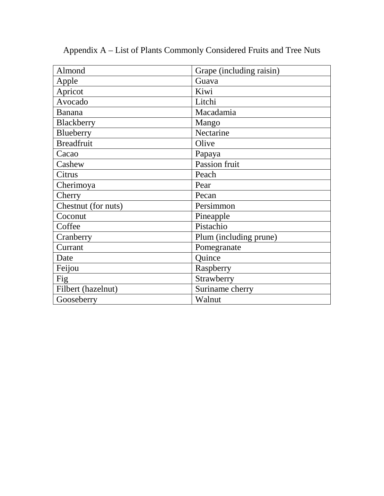| Almond              | Grape (including raisin) |  |
|---------------------|--------------------------|--|
| Apple               | Guava                    |  |
| Apricot             | Kiwi                     |  |
| Avocado             | Litchi                   |  |
| Banana              | Macadamia                |  |
| Blackberry          | Mango                    |  |
| Blueberry           | Nectarine                |  |
| <b>Breadfruit</b>   | Olive                    |  |
| Cacao               | Papaya                   |  |
| Cashew              | Passion fruit            |  |
| Citrus              | Peach                    |  |
| Cherimoya           | Pear                     |  |
| Cherry              | Pecan                    |  |
| Chestnut (for nuts) | Persimmon                |  |
| Coconut             | Pineapple                |  |
| Coffee              | Pistachio                |  |
| Cranberry           | Plum (including prune)   |  |
| Currant             | Pomegranate              |  |
| Date                | Quince                   |  |
| Feijou              | Raspberry                |  |
| Fig                 | Strawberry               |  |
| Filbert (hazelnut)  | Suriname cherry          |  |
| Gooseberry          | Walnut                   |  |

Appendix A – List of Plants Commonly Considered Fruits and Tree Nuts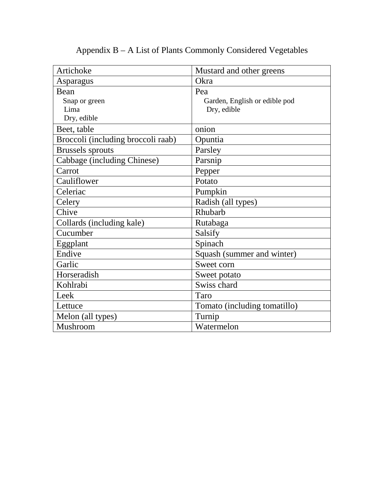| Artichoke                          | Mustard and other greens      |  |
|------------------------------------|-------------------------------|--|
| Asparagus                          | Okra                          |  |
| Bean                               | Pea                           |  |
| Snap or green                      | Garden, English or edible pod |  |
| Lima                               | Dry, edible                   |  |
| Dry, edible                        |                               |  |
| Beet, table                        | onion                         |  |
| Broccoli (including broccoli raab) | Opuntia                       |  |
| <b>Brussels</b> sprouts            | Parsley                       |  |
| Cabbage (including Chinese)        | Parsnip                       |  |
| Carrot                             | Pepper                        |  |
| Cauliflower                        | Potato                        |  |
| Celeriac                           | Pumpkin                       |  |
| Celery                             | Radish (all types)            |  |
| Chive                              | Rhubarb                       |  |
| Collards (including kale)          | Rutabaga                      |  |
| Cucumber                           | Salsify                       |  |
| Eggplant                           | Spinach                       |  |
| Endive                             | Squash (summer and winter)    |  |
| Garlic                             | Sweet corn                    |  |
| Horseradish                        | Sweet potato                  |  |
| Kohlrabi                           | Swiss chard                   |  |
| Leek                               | Taro                          |  |
| Lettuce                            | Tomato (including tomatillo)  |  |
| Melon (all types)                  | Turnip                        |  |
| Mushroom                           | Watermelon                    |  |

# Appendix B – A List of Plants Commonly Considered Vegetables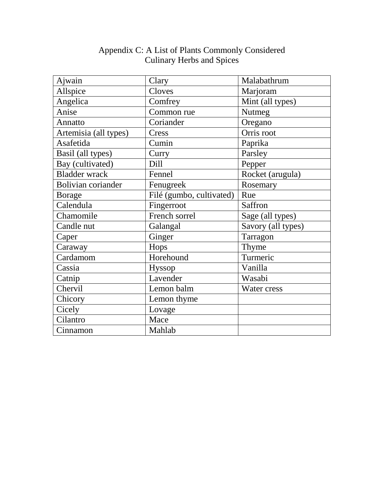| Ajwain                    | Clary                    | Malabathrum        |
|---------------------------|--------------------------|--------------------|
| Allspice                  | Cloves                   | Marjoram           |
| Angelica                  | Comfrey                  | Mint (all types)   |
| Anise                     | Common rue               | Nutmeg             |
| Annatto                   | Coriander                | Oregano            |
| Artemisia (all types)     | Cress                    | Orris root         |
| Asafetida                 | Cumin                    | Paprika            |
| Basil (all types)         | Curry                    | Parsley            |
| Bay (cultivated)          | Dill                     | Pepper             |
| <b>Bladder</b> wrack      | Fennel                   | Rocket (arugula)   |
| <b>Bolivian coriander</b> | Fenugreek                | Rosemary           |
| <b>Borage</b>             | Filé (gumbo, cultivated) | Rue                |
| Calendula                 | Fingerroot               | Saffron            |
| Chamomile                 | French sorrel            | Sage (all types)   |
| Candle nut                | Galangal                 | Savory (all types) |
| Caper                     | Ginger                   | Tarragon           |
| Caraway                   | Hops                     | Thyme              |
| Cardamom                  | Horehound                | Turmeric           |
| Cassia                    | Hyssop                   | Vanilla            |
| Catnip                    | Lavender                 | Wasabi             |
| Chervil                   | Lemon balm               | Water cress        |
| Chicory                   | Lemon thyme              |                    |
| Cicely                    | Lovage                   |                    |
| Cilantro                  | Mace                     |                    |
| Cinnamon                  | Mahlab                   |                    |

## Appendix C: A List of Plants Commonly Considered Culinary Herbs and Spices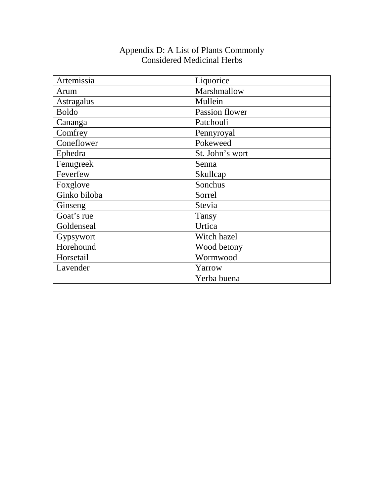| Artemissia   | Liquorice       |
|--------------|-----------------|
| Arum         | Marshmallow     |
| Astragalus   | Mullein         |
| <b>Boldo</b> | Passion flower  |
| Cananga      | Patchouli       |
| Comfrey      | Pennyroyal      |
| Coneflower   | Pokeweed        |
| Ephedra      | St. John's wort |
| Fenugreek    | Senna           |
| Feverfew     | Skullcap        |
| Foxglove     | Sonchus         |
| Ginko biloba | Sorrel          |
| Ginseng      | Stevia          |
| Goat's rue   | Tansy           |
| Goldenseal   | Urtica          |
| Gypsywort    | Witch hazel     |
| Horehound    | Wood betony     |
| Horsetail    | Wormwood        |
| Lavender     | Yarrow          |
|              | Yerba buena     |

#### Appendix D: A List of Plants Commonly Considered Medicinal Herbs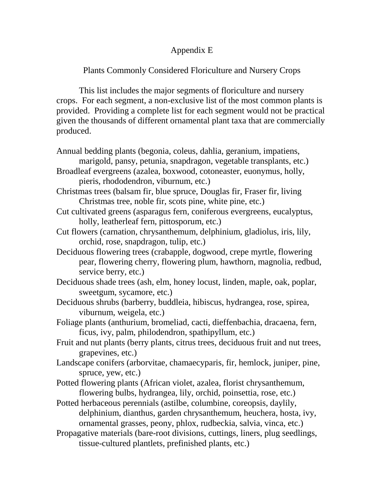# Appendix E

# Plants Commonly Considered Floriculture and Nursery Crops

This list includes the major segments of floriculture and nursery crops. For each segment, a non-exclusive list of the most common plants is provided. Providing a complete list for each segment would not be practical given the thousands of different ornamental plant taxa that are commercially produced.

| Annual bedding plants (begonia, coleus, dahlia, geranium, impatiens,             |
|----------------------------------------------------------------------------------|
| marigold, pansy, petunia, snapdragon, vegetable transplants, etc.)               |
| Broadleaf evergreens (azalea, boxwood, cotoneaster, euonymus, holly,             |
| pieris, rhododendron, viburnum, etc.)                                            |
| Christmas trees (balsam fir, blue spruce, Douglas fir, Fraser fir, living        |
| Christmas tree, noble fir, scots pine, white pine, etc.)                         |
| Cut cultivated greens (asparagus fern, coniferous evergreens, eucalyptus,        |
| holly, leatherleaf fern, pittosporum, etc.)                                      |
| Cut flowers (carnation, chrysanthemum, delphinium, gladiolus, iris, lily,        |
| orchid, rose, snapdragon, tulip, etc.)                                           |
| Deciduous flowering trees (crabapple, dogwood, crepe myrtle, flowering           |
| pear, flowering cherry, flowering plum, hawthorn, magnolia, redbud,              |
| service berry, etc.)                                                             |
| Deciduous shade trees (ash, elm, honey locust, linden, maple, oak, poplar,       |
| sweetgum, sycamore, etc.)                                                        |
| Deciduous shrubs (barberry, buddleia, hibiscus, hydrangea, rose, spirea,         |
| viburnum, weigela, etc.)                                                         |
| Foliage plants (anthurium, bromeliad, cacti, dieffenbachia, dracaena, fern,      |
| ficus, ivy, palm, philodendron, spathipyllum, etc.)                              |
| Fruit and nut plants (berry plants, citrus trees, deciduous fruit and nut trees, |
| grapevines, etc.)                                                                |
| Landscape conifers (arborvitae, chamaecyparis, fir, hemlock, juniper, pine,      |
| spruce, yew, etc.)                                                               |
| Potted flowering plants (African violet, azalea, florist chrysanthemum,          |
| flowering bulbs, hydrangea, lily, orchid, poinsettia, rose, etc.)                |
| Potted herbaceous perennials (astilbe, columbine, coreopsis, daylily,            |
| delphinium, dianthus, garden chrysanthemum, heuchera, hosta, ivy,                |
| ornamental grasses, peony, phlox, rudbeckia, salvia, vinca, etc.)                |
| Propagative materials (bare-root divisions, cuttings, liners, plug seedlings,    |
| tissue-cultured plantlets, prefinished plants, etc.)                             |
|                                                                                  |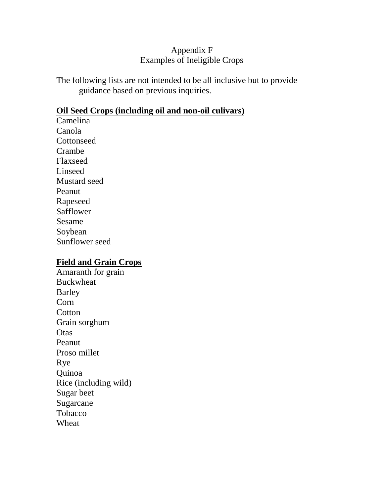# Appendix F Examples of Ineligible Crops

The following lists are not intended to be all inclusive but to provide guidance based on previous inquiries.

#### **Oil Seed Crops (including oil and non-oil culivars)**

Camelina Canola **Cottonseed** Crambe Flaxseed Linseed Mustard seed Peanut Rapeseed Safflower Sesame Soybean Sunflower seed

#### **Field and Grain Crops**

Amaranth for grain Buckwheat Barley Corn **Cotton** Grain sorghum **Otas** Peanut Proso millet Rye Quinoa Rice (including wild) Sugar beet Sugarcane Tobacco Wheat